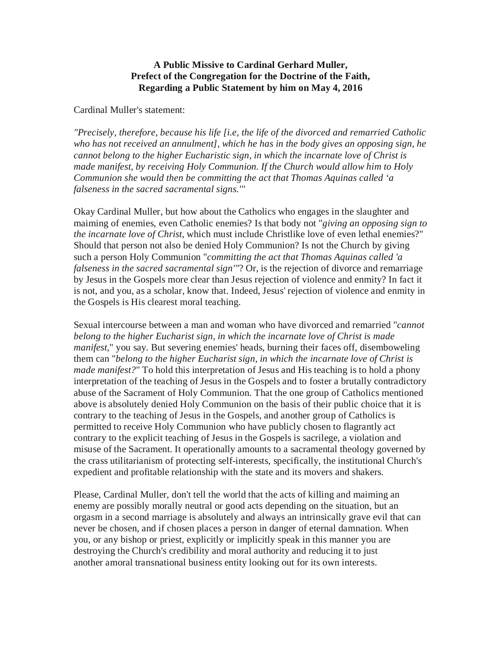## **A Public Missive to Cardinal Gerhard Muller, Prefect of the Congregation for the Doctrine of the Faith, Regarding a Public Statement by him on May 4, 2016**

## Cardinal Muller's statement:

*"Precisely, therefore, because his life [i.e, the life of the divorced and remarried Catholic who has not received an annulment], which he has in the body gives an opposing sign, he cannot belong to the higher Eucharistic sign, in which the incarnate love of Christ is made manifest, by receiving Holy Communion. If the Church would allow him to Holy Communion she would then be committing the act that Thomas Aquinas called 'a falseness in the sacred sacramental signs.'"*

Okay Cardinal Muller, but how about the Catholics who engages in the slaughter and maiming of enemies, even Catholic enemies? Is that body not "*giving an opposing sign to the incarnate love of Christ,* which must include Christlike love of even lethal enemies?" Should that person not also be denied Holy Communion? Is not the Church by giving such a person Holy Communion "*committing the act that Thomas Aquinas called 'a falseness in the sacred sacramental sign'"*? Or, is the rejection of divorce and remarriage by Jesus in the Gospels more clear than Jesus rejection of violence and enmity? In fact it is not, and you, as a scholar, know that. Indeed, Jesus' rejection of violence and enmity in the Gospels is His clearest moral teaching.

Sexual intercourse between a man and woman who have divorced and remarried "*cannot belong to the higher Eucharist sign, in which the incarnate love of Christ is made manifest,*" you say. But severing enemies' heads, burning their faces off, disemboweling them can "*belong to the higher Eucharist sign, in which the incarnate love of Christ is made manifest?*" To hold this interpretation of Jesus and His teaching is to hold a phony interpretation of the teaching of Jesus in the Gospels and to foster a brutally contradictory abuse of the Sacrament of Holy Communion. That the one group of Catholics mentioned above is absolutely denied Holy Communion on the basis of their public choice that it is contrary to the teaching of Jesus in the Gospels, and another group of Catholics is permitted to receive Holy Communion who have publicly chosen to flagrantly act contrary to the explicit teaching of Jesus in the Gospels is sacrilege, a violation and misuse of the Sacrament. It operationally amounts to a sacramental theology governed by the crass utilitarianism of protecting self-interests, specifically, the institutional Church's expedient and profitable relationship with the state and its movers and shakers.

Please, Cardinal Muller, don't tell the world that the acts of killing and maiming an enemy are possibly morally neutral or good acts depending on the situation, but an orgasm in a second marriage is absolutely and always an intrinsically grave evil that can never be chosen, and if chosen places a person in danger of eternal damnation. When you, or any bishop or priest, explicitly or implicitly speak in this manner you are destroying the Church's credibility and moral authority and reducing it to just another amoral transnational business entity looking out for its own interests.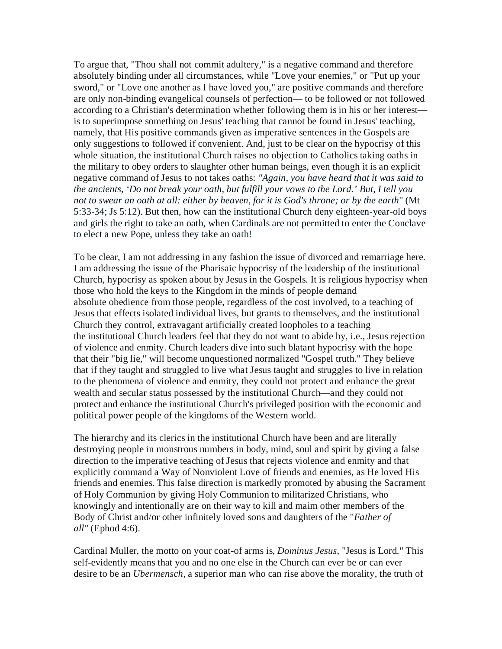To argue that, "Thou shall not commit adultery," is a negative command and therefore absolutely binding under all circumstances, while "Love your enemies," or "Put up your sword," or "Love one another as I have loved you," are positive commands and therefore are only non-binding evangelical counsels of perfection— to be followed or not followed according to a Christian's determination whether following them is in his or her interest is to superimpose something on Jesus' teaching that cannot be found in Jesus' teaching, namely, that His positive commands given as imperative sentences in the Gospels are only suggestions to followed if convenient. And, just to be clear on the hypocrisy of this whole situation, the institutional Church raises no objection to Catholics taking oaths in the military to obey orders to slaughter other human beings, even though it is an explicit negative command of Jesus to not takes oaths: *"Again, you have heard that it was said to the ancients, 'Do not break your oath, but fulfill your vows to the Lord.' But, I tell you not to swear an oath at all: either by heaven, for it is God's throne; or by the earth*" (Mt 5:33-34; Js 5:12). But then, how can the institutional Church deny eighteen-year-old boys and girls the right to take an oath, when Cardinals are not permitted to enter the Conclave to elect a new Pope, unless they take an oath!

To be clear, I am not addressing in any fashion the issue of divorced and remarriage here. I am addressing the issue of the Pharisaic hypocrisy of the leadership of the institutional Church, hypocrisy as spoken about by Jesus in the Gospels. It is religious hypocrisy when those who hold the keys to the Kingdom in the minds of people demand absolute obedience from those people, regardless of the cost involved, to a teaching of Jesus that effects isolated individual lives, but grants to themselves, and the institutional Church they control, extravagant artificially created loopholes to a teaching the institutional Church leaders feel that they do not want to abide by, i.e., Jesus rejection of violence and enmity. Church leaders dive into such blatant hypocrisy with the hope that their "big lie," will become unquestioned normalized "Gospel truth." They believe that if they taught and struggled to live what Jesus taught and struggles to live in relation to the phenomena of violence and enmity, they could not protect and enhance the great wealth and secular status possessed by the institutional Church—and they could not protect and enhance the institutional Church's privileged position with the economic and political power people of the kingdoms of the Western world.

The hierarchy and its clerics in the institutional Church have been and are literally destroying people in monstrous numbers in body, mind, soul and spirit by giving a false direction to the imperative teaching of Jesus that rejects violence and enmity and that explicitly command a Way of Nonviolent Love of friends and enemies, as He loved His friends and enemies. This false direction is markedly promoted by abusing the Sacrament of Holy Communion by giving Holy Communion to militarized Christians, who knowingly and intentionally are on their way to kill and maim other members of the Body of Christ and/or other infinitely loved sons and daughters of the "*Father of all"* (Ephod 4:6).

Cardinal Muller, the motto on your coat-of arms is, *Dominus Jesus*, "Jesus is Lord." This self-evidently means that you and no one else in the Church can ever be or can ever desire to be an *Ubermensch,* a superior man who can rise above the morality, the truth of